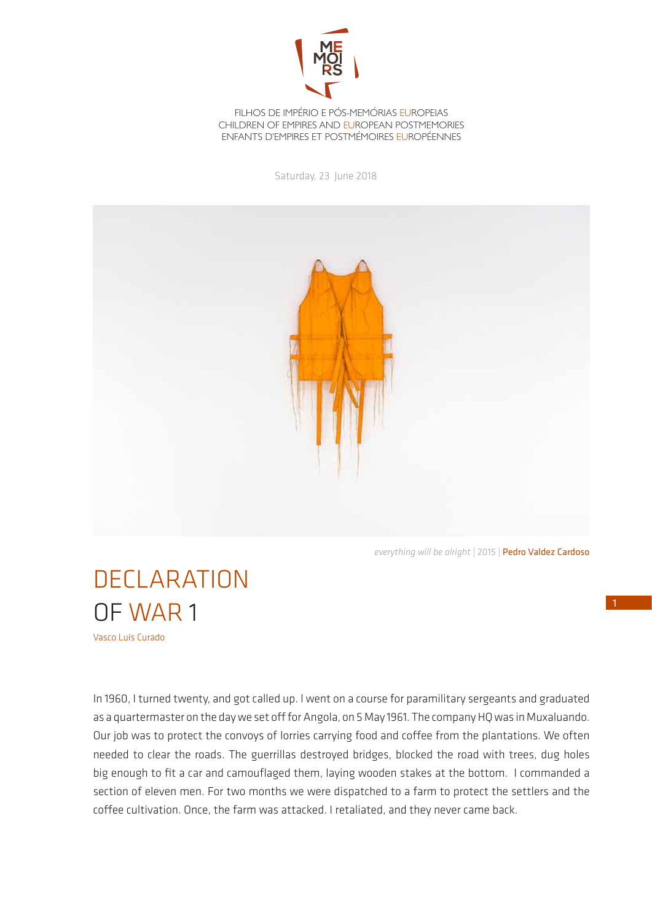

FILHOS DE IMPÉRIO E PÓS-MEMÓRIAS EUROPEIAS CHILDREN OF EMPIRES AND EUROPEAN POSTMEMORIES ENFANTS D'EMPIRES ET POSTMÉMOIRES EUROPÉENNES

Saturday, 23 June 2018



*everything will be alright* | 2015 | Pedro Valdez Cardoso

## DECLARATION OF WAR 1

Vasco Luís Curado

In 1960, I turned twenty, and got called up. I went on a course for paramilitary sergeants and graduated as a quartermaster on the day we set off for Angola, on 5 May 1961. The company HQ was in Muxaluando. Our job was to protect the convoys of lorries carrying food and coffee from the plantations. We often needed to clear the roads. The guerrillas destroyed bridges, blocked the road with trees, dug holes big enough to fit a car and camouflaged them, laying wooden stakes at the bottom. I commanded a section of eleven men. For two months we were dispatched to a farm to protect the settlers and the coffee cultivation. Once, the farm was attacked. I retaliated, and they never came back.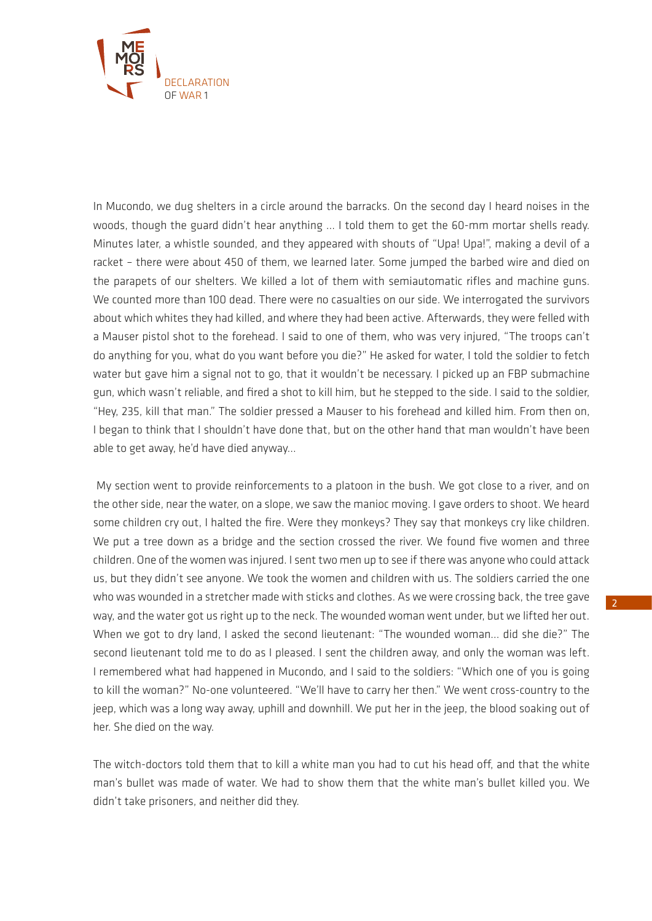

In Mucondo, we dug shelters in a circle around the barracks. On the second day I heard noises in the woods, though the guard didn't hear anything ... I told them to get the 60-mm mortar shells ready. Minutes later, a whistle sounded, and they appeared with shouts of "Upa! Upa!", making a devil of a racket – there were about 450 of them, we learned later. Some jumped the barbed wire and died on the parapets of our shelters. We killed a lot of them with semiautomatic rifles and machine guns. We counted more than 100 dead. There were no casualties on our side. We interrogated the survivors about which whites they had killed, and where they had been active. Afterwards, they were felled with a Mauser pistol shot to the forehead. I said to one of them, who was very injured, "The troops can't do anything for you, what do you want before you die?" He asked for water, I told the soldier to fetch water but gave him a signal not to go, that it wouldn't be necessary. I picked up an FBP submachine gun, which wasn't reliable, and fired a shot to kill him, but he stepped to the side. I said to the soldier, "Hey, 235, kill that man." The soldier pressed a Mauser to his forehead and killed him. From then on, I began to think that I shouldn't have done that, but on the other hand that man wouldn't have been able to get away, he'd have died anyway...

 My section went to provide reinforcements to a platoon in the bush. We got close to a river, and on the other side, near the water, on a slope, we saw the manioc moving. I gave orders to shoot. We heard some children cry out, I halted the fire. Were they monkeys? They say that monkeys cry like children. We put a tree down as a bridge and the section crossed the river. We found five women and three children. One of the women was injured. I sent two men up to see if there was anyone who could attack us, but they didn't see anyone. We took the women and children with us. The soldiers carried the one who was wounded in a stretcher made with sticks and clothes. As we were crossing back, the tree gave way, and the water got us right up to the neck. The wounded woman went under, but we lifted her out. When we got to dry land, I asked the second lieutenant: "The wounded woman... did she die?" The second lieutenant told me to do as I pleased. I sent the children away, and only the woman was left. I remembered what had happened in Mucondo, and I said to the soldiers: "Which one of you is going to kill the woman?" No-one volunteered. "We'll have to carry her then." We went cross-country to the jeep, which was a long way away, uphill and downhill. We put her in the jeep, the blood soaking out of her. She died on the way.

The witch-doctors told them that to kill a white man you had to cut his head off, and that the white man's bullet was made of water. We had to show them that the white man's bullet killed you. We didn't take prisoners, and neither did they.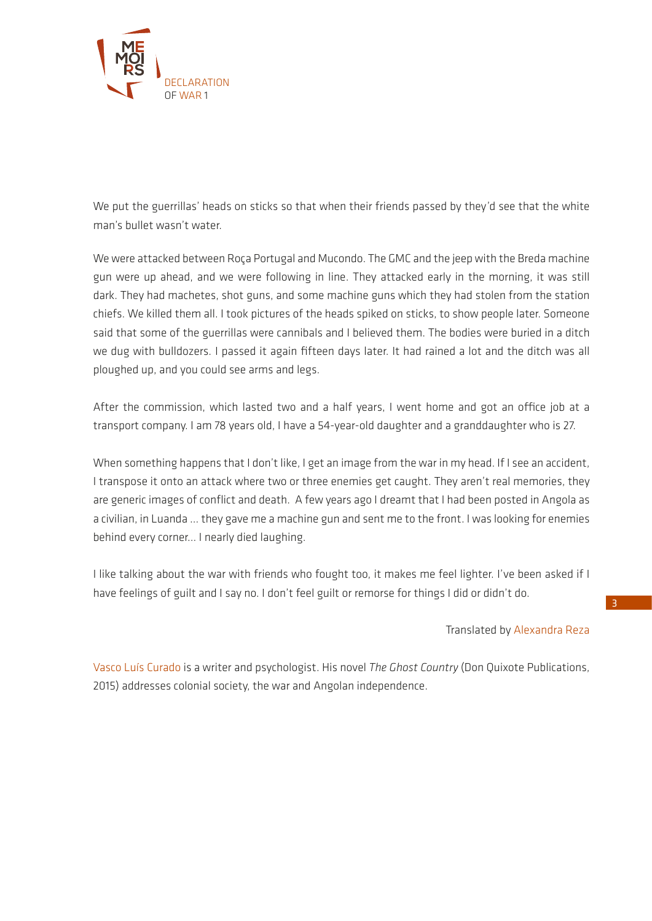

We put the guerrillas' heads on sticks so that when their friends passed by they'd see that the white man's bullet wasn't water.

We were attacked between Roça Portugal and Mucondo. The GMC and the jeep with the Breda machine gun were up ahead, and we were following in line. They attacked early in the morning, it was still dark. They had machetes, shot guns, and some machine guns which they had stolen from the station chiefs. We killed them all. I took pictures of the heads spiked on sticks, to show people later. Someone said that some of the guerrillas were cannibals and I believed them. The bodies were buried in a ditch we dug with bulldozers. I passed it again fifteen days later. It had rained a lot and the ditch was all ploughed up, and you could see arms and legs.

After the commission, which lasted two and a half years, I went home and got an office job at a transport company. I am 78 years old, I have a 54-year-old daughter and a granddaughter who is 27.

When something happens that I don't like, I get an image from the war in my head. If I see an accident, I transpose it onto an attack where two or three enemies get caught. They aren't real memories, they are generic images of conflict and death. A few years ago I dreamt that I had been posted in Angola as a civilian, in Luanda ... they gave me a machine gun and sent me to the front. I was looking for enemies behind every corner... I nearly died laughing.

I like talking about the war with friends who fought too, it makes me feel lighter. I've been asked if I have feelings of guilt and I say no. I don't feel guilt or remorse for things I did or didn't do.

Translated by Alexandra Reza

Vasco Luís Curado is a writer and psychologist. His novel *The Ghost Country* (Don Quixote Publications, 2015) addresses colonial society, the war and Angolan independence.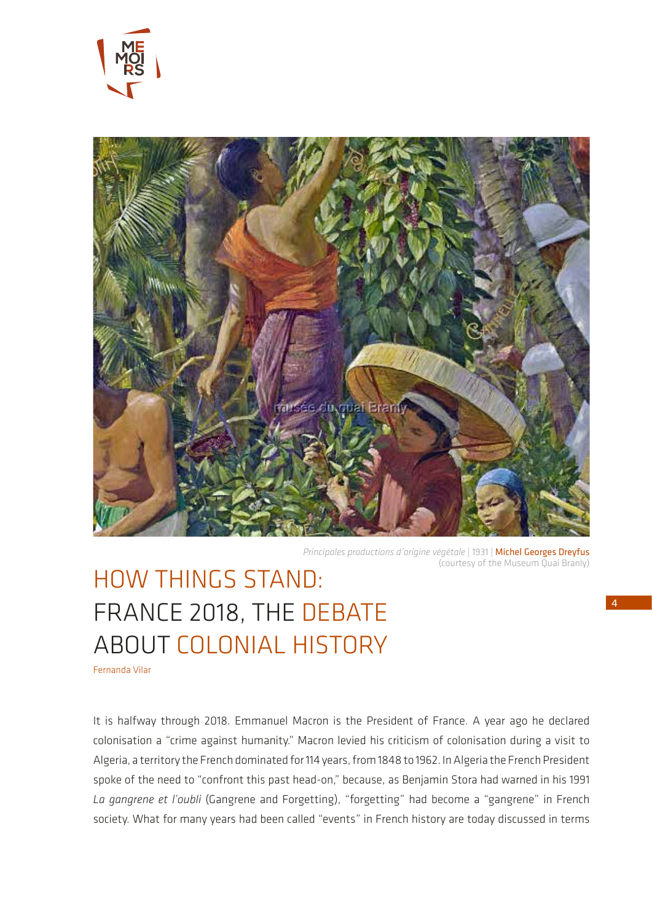



*Principales productions d'origine végétale* | 1931 | Michel Georges Dreyfus (courtesy of the Museum Quai Branly)

## HOW THINGS STAND: FRANCE 2018, THE DEBATE ABOUT COLONIAL HISTORY

Fernanda Vilar

It is halfway through 2018. Emmanuel Macron is the President of France. A year ago he declared colonisation a "crime against humanity." Macron levied his criticism of colonisation during a visit to Algeria, a territory the French dominated for 114 years, from 1848 to 1962. In Algeria the French President spoke of the need to "confront this past head-on," because, as Benjamin Stora had warned in his 1991 *La gangrene et l'oubli* (Gangrene and Forgetting), "forgetting" had become a "gangrene" in French society. What for many years had been called "events" in French history are today discussed in terms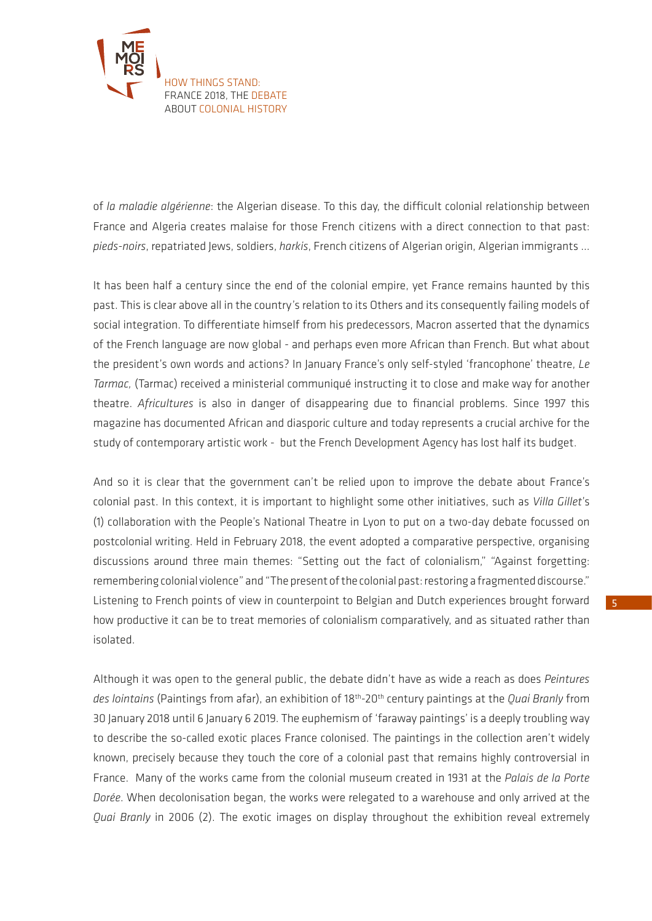

of *la maladie algérienne*: the Algerian disease. To this day, the difficult colonial relationship between France and Algeria creates malaise for those French citizens with a direct connection to that past: *pieds-noirs*, repatriated Jews, soldiers, *harkis*, French citizens of Algerian origin, Algerian immigrants ...

It has been half a century since the end of the colonial empire, yet France remains haunted by this past. This is clear above all in the country's relation to its Others and its consequently failing models of social integration. To differentiate himself from his predecessors, Macron asserted that the dynamics of the French language are now global - and perhaps even more African than French. But what about the president's own words and actions? In January France's only self-styled 'francophone' theatre, *Le Tarmac,* (Tarmac) received a ministerial communiqué instructing it to close and make way for another theatre. *Africultures* is also in danger of disappearing due to financial problems. Since 1997 this magazine has documented African and diasporic culture and today represents a crucial archive for the study of contemporary artistic work - but the French Development Agency has lost half its budget.

And so it is clear that the government can't be relied upon to improve the debate about France's colonial past. In this context, it is important to highlight some other initiatives, such as *Villa Gillet*'s (1) collaboration with the People's National Theatre in Lyon to put on a two-day debate focussed on postcolonial writing. Held in February 2018, the event adopted a comparative perspective, organising discussions around three main themes: "Setting out the fact of colonialism," "Against forgetting: remembering colonial violence" and "The present of the colonial past: restoring a fragmented discourse." Listening to French points of view in counterpoint to Belgian and Dutch experiences brought forward how productive it can be to treat memories of colonialism comparatively, and as situated rather than isolated.

Although it was open to the general public, the debate didn't have as wide a reach as does *Peintures des lointains* (Paintings from afar), an exhibition of 18th-20th century paintings at the *Quai Branly* from 30 January 2018 until 6 January 6 2019. The euphemism of 'faraway paintings' is a deeply troubling way to describe the so-called exotic places France colonised. The paintings in the collection aren't widely known, precisely because they touch the core of a colonial past that remains highly controversial in France. Many of the works came from the colonial museum created in 1931 at the *Palais de la Porte Dorée*. When decolonisation began, the works were relegated to a warehouse and only arrived at the *Quai Branly* in 2006 (2). The exotic images on display throughout the exhibition reveal extremely